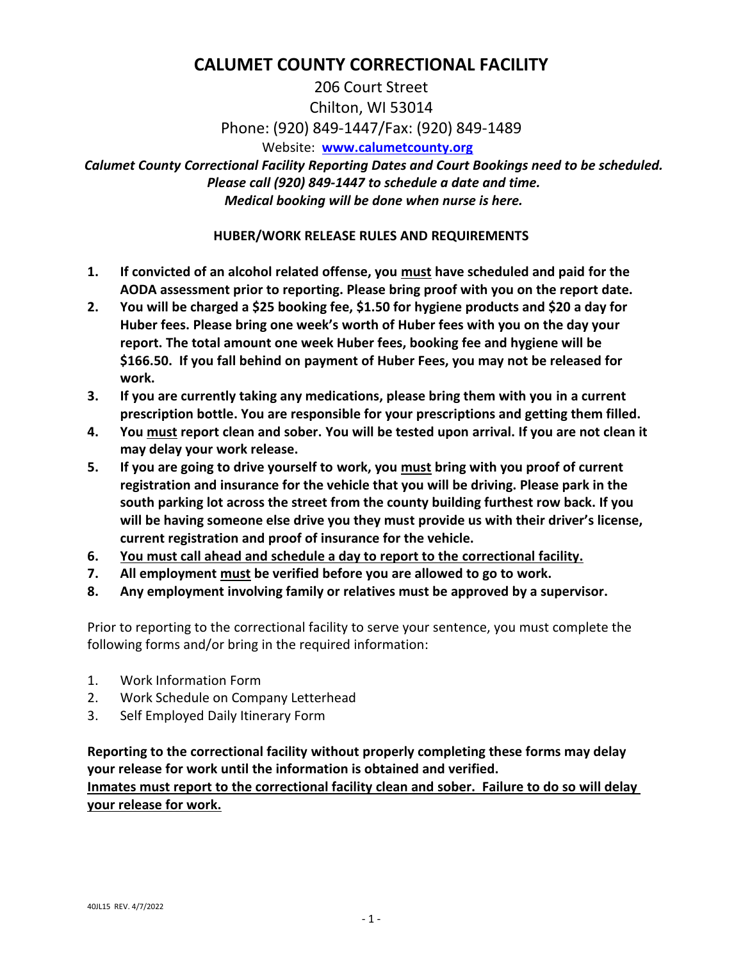# **CALUMET COUNTY CORRECTIONAL FACILITY**

206 Court Street Chilton, WI 53014 Phone: (920) 849-1447/Fax: (920) 849-1489 Website: **[www.calumetcounty.org](http://www.calumetcounty.org/)**

*Calumet County Correctional Facility Reporting Dates and Court Bookings need to be scheduled. Please call (920) 849-1447 to schedule a date and time. Medical booking will be done when nurse is here.*

### **HUBER/WORK RELEASE RULES AND REQUIREMENTS**

- **1. If convicted of an alcohol related offense, you must have scheduled and paid for the AODA assessment prior to reporting. Please bring proof with you on the report date.**
- **2. You will be charged a \$25 booking fee, \$1.50 for hygiene products and \$20 a day for Huber fees. Please bring one week's worth of Huber fees with you on the day your report. The total amount one week Huber fees, booking fee and hygiene will be \$166.50. If you fall behind on payment of Huber Fees, you may not be released for work.**
- **3. If you are currently taking any medications, please bring them with you in a current prescription bottle. You are responsible for your prescriptions and getting them filled.**
- **4. You must report clean and sober. You will be tested upon arrival. If you are not clean it may delay your work release.**
- **5. If you are going to drive yourself to work, you must bring with you proof of current registration and insurance for the vehicle that you will be driving. Please park in the south parking lot across the street from the county building furthest row back. If you will be having someone else drive you they must provide us with their driver's license, current registration and proof of insurance for the vehicle.**
- **6. You must call ahead and schedule a day to report to the correctional facility.**
- **7. All employment must be verified before you are allowed to go to work.**
- **8. Any employment involving family or relatives must be approved by a supervisor.**

Prior to reporting to the correctional facility to serve your sentence, you must complete the following forms and/or bring in the required information:

- 1. Work Information Form
- 2. Work Schedule on Company Letterhead
- 3. Self Employed Daily Itinerary Form

**Reporting to the correctional facility without properly completing these forms may delay your release for work until the information is obtained and verified. Inmates must report to the correctional facility clean and sober. Failure to do so will delay your release for work.**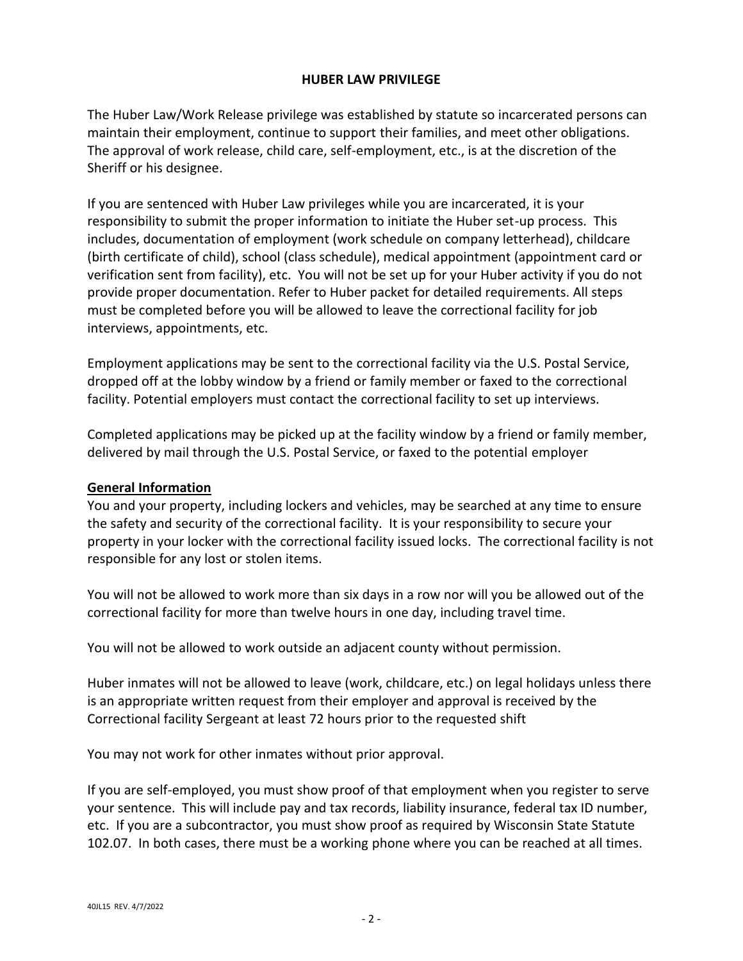#### **HUBER LAW PRIVILEGE**

The Huber Law/Work Release privilege was established by statute so incarcerated persons can maintain their employment, continue to support their families, and meet other obligations. The approval of work release, child care, self-employment, etc., is at the discretion of the Sheriff or his designee.

If you are sentenced with Huber Law privileges while you are incarcerated, it is your responsibility to submit the proper information to initiate the Huber set-up process. This includes, documentation of employment (work schedule on company letterhead), childcare (birth certificate of child), school (class schedule), medical appointment (appointment card or verification sent from facility), etc. You will not be set up for your Huber activity if you do not provide proper documentation. Refer to Huber packet for detailed requirements. All steps must be completed before you will be allowed to leave the correctional facility for job interviews, appointments, etc.

Employment applications may be sent to the correctional facility via the U.S. Postal Service, dropped off at the lobby window by a friend or family member or faxed to the correctional facility. Potential employers must contact the correctional facility to set up interviews.

Completed applications may be picked up at the facility window by a friend or family member, delivered by mail through the U.S. Postal Service, or faxed to the potential employer

#### **General Information**

You and your property, including lockers and vehicles, may be searched at any time to ensure the safety and security of the correctional facility. It is your responsibility to secure your property in your locker with the correctional facility issued locks. The correctional facility is not responsible for any lost or stolen items.

You will not be allowed to work more than six days in a row nor will you be allowed out of the correctional facility for more than twelve hours in one day, including travel time.

You will not be allowed to work outside an adjacent county without permission.

Huber inmates will not be allowed to leave (work, childcare, etc.) on legal holidays unless there is an appropriate written request from their employer and approval is received by the Correctional facility Sergeant at least 72 hours prior to the requested shift

You may not work for other inmates without prior approval.

If you are self-employed, you must show proof of that employment when you register to serve your sentence. This will include pay and tax records, liability insurance, federal tax ID number, etc. If you are a subcontractor, you must show proof as required by Wisconsin State Statute 102.07. In both cases, there must be a working phone where you can be reached at all times.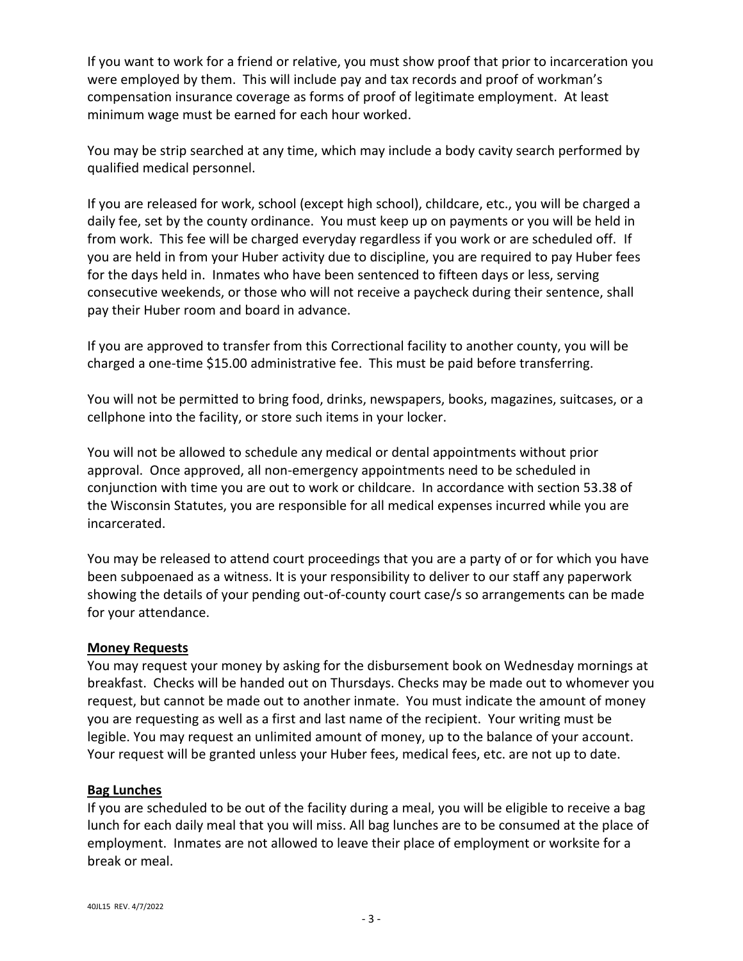If you want to work for a friend or relative, you must show proof that prior to incarceration you were employed by them. This will include pay and tax records and proof of workman's compensation insurance coverage as forms of proof of legitimate employment. At least minimum wage must be earned for each hour worked.

You may be strip searched at any time, which may include a body cavity search performed by qualified medical personnel.

If you are released for work, school (except high school), childcare, etc., you will be charged a daily fee, set by the county ordinance. You must keep up on payments or you will be held in from work. This fee will be charged everyday regardless if you work or are scheduled off. If you are held in from your Huber activity due to discipline, you are required to pay Huber fees for the days held in. Inmates who have been sentenced to fifteen days or less, serving consecutive weekends, or those who will not receive a paycheck during their sentence, shall pay their Huber room and board in advance.

If you are approved to transfer from this Correctional facility to another county, you will be charged a one-time \$15.00 administrative fee. This must be paid before transferring.

You will not be permitted to bring food, drinks, newspapers, books, magazines, suitcases, or a cellphone into the facility, or store such items in your locker.

You will not be allowed to schedule any medical or dental appointments without prior approval. Once approved, all non-emergency appointments need to be scheduled in conjunction with time you are out to work or childcare. In accordance with section 53.38 of the Wisconsin Statutes, you are responsible for all medical expenses incurred while you are incarcerated.

You may be released to attend court proceedings that you are a party of or for which you have been subpoenaed as a witness. It is your responsibility to deliver to our staff any paperwork showing the details of your pending out-of-county court case/s so arrangements can be made for your attendance.

#### **Money Requests**

You may request your money by asking for the disbursement book on Wednesday mornings at breakfast. Checks will be handed out on Thursdays. Checks may be made out to whomever you request, but cannot be made out to another inmate. You must indicate the amount of money you are requesting as well as a first and last name of the recipient. Your writing must be legible. You may request an unlimited amount of money, up to the balance of your account. Your request will be granted unless your Huber fees, medical fees, etc. are not up to date.

#### **Bag Lunches**

If you are scheduled to be out of the facility during a meal, you will be eligible to receive a bag lunch for each daily meal that you will miss. All bag lunches are to be consumed at the place of employment. Inmates are not allowed to leave their place of employment or worksite for a break or meal.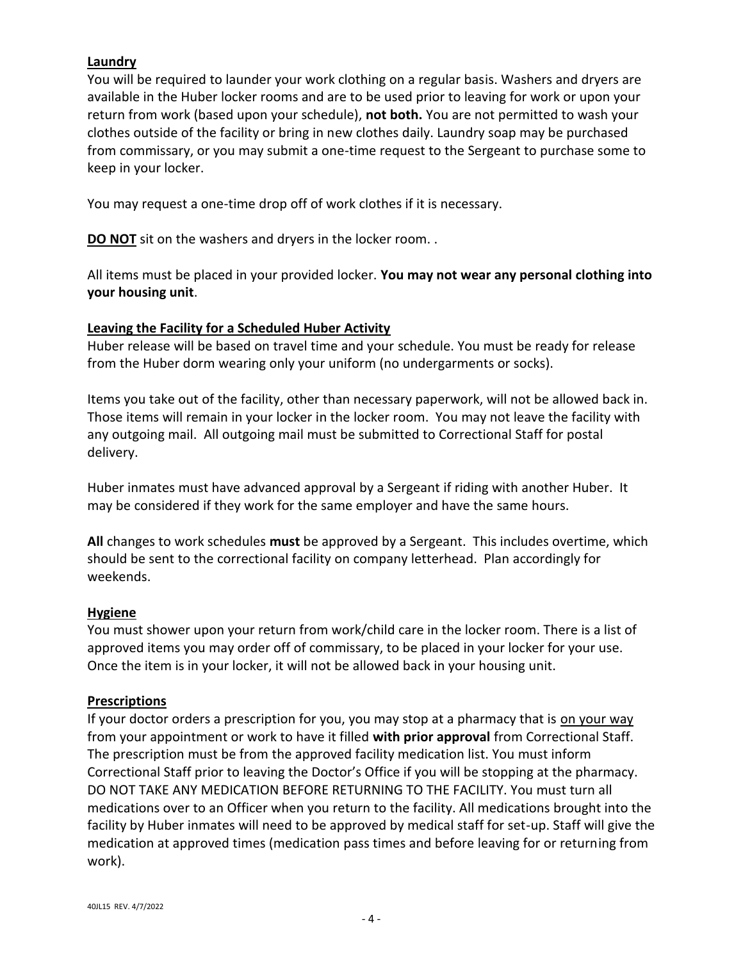#### **Laundry**

You will be required to launder your work clothing on a regular basis. Washers and dryers are available in the Huber locker rooms and are to be used prior to leaving for work or upon your return from work (based upon your schedule), **not both.** You are not permitted to wash your clothes outside of the facility or bring in new clothes daily. Laundry soap may be purchased from commissary, or you may submit a one-time request to the Sergeant to purchase some to keep in your locker.

You may request a one-time drop off of work clothes if it is necessary.

**DO NOT** sit on the washers and dryers in the locker room...

All items must be placed in your provided locker. **You may not wear any personal clothing into your housing unit**.

### **Leaving the Facility for a Scheduled Huber Activity**

Huber release will be based on travel time and your schedule. You must be ready for release from the Huber dorm wearing only your uniform (no undergarments or socks).

Items you take out of the facility, other than necessary paperwork, will not be allowed back in. Those items will remain in your locker in the locker room. You may not leave the facility with any outgoing mail. All outgoing mail must be submitted to Correctional Staff for postal delivery.

Huber inmates must have advanced approval by a Sergeant if riding with another Huber. It may be considered if they work for the same employer and have the same hours.

**All** changes to work schedules **must** be approved by a Sergeant. This includes overtime, which should be sent to the correctional facility on company letterhead. Plan accordingly for weekends.

#### **Hygiene**

You must shower upon your return from work/child care in the locker room. There is a list of approved items you may order off of commissary, to be placed in your locker for your use. Once the item is in your locker, it will not be allowed back in your housing unit.

#### **Prescriptions**

If your doctor orders a prescription for you, you may stop at a pharmacy that is on your way from your appointment or work to have it filled **with prior approval** from Correctional Staff. The prescription must be from the approved facility medication list. You must inform Correctional Staff prior to leaving the Doctor's Office if you will be stopping at the pharmacy. DO NOT TAKE ANY MEDICATION BEFORE RETURNING TO THE FACILITY. You must turn all medications over to an Officer when you return to the facility. All medications brought into the facility by Huber inmates will need to be approved by medical staff for set-up. Staff will give the medication at approved times (medication pass times and before leaving for or returning from work).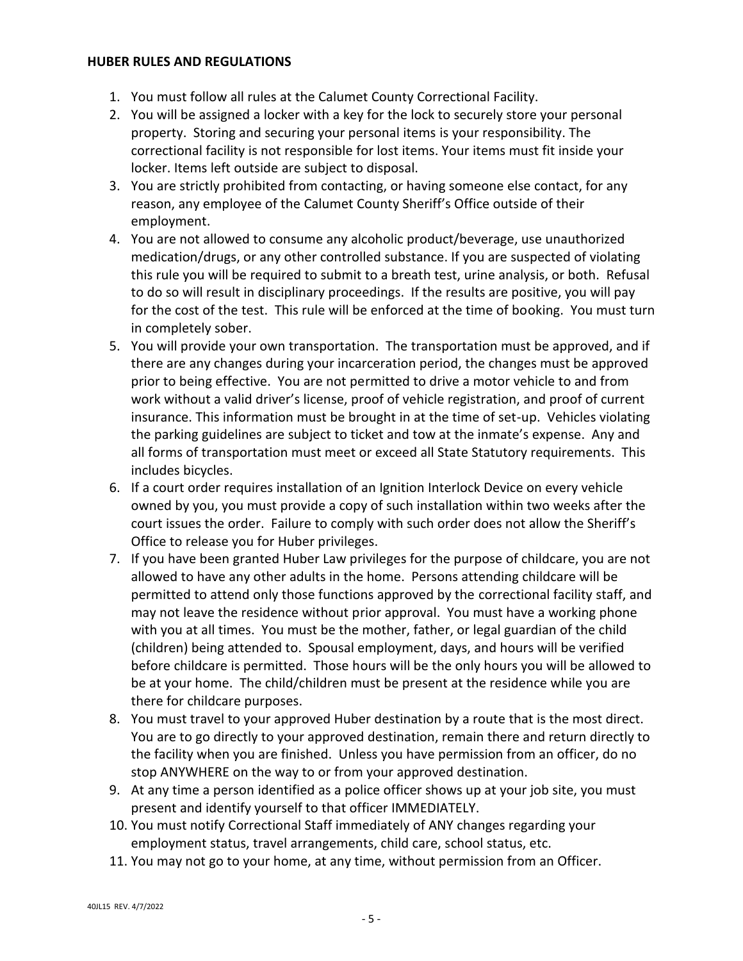#### **HUBER RULES AND REGULATIONS**

- 1. You must follow all rules at the Calumet County Correctional Facility.
- 2. You will be assigned a locker with a key for the lock to securely store your personal property. Storing and securing your personal items is your responsibility. The correctional facility is not responsible for lost items. Your items must fit inside your locker. Items left outside are subject to disposal.
- 3. You are strictly prohibited from contacting, or having someone else contact, for any reason, any employee of the Calumet County Sheriff's Office outside of their employment.
- 4. You are not allowed to consume any alcoholic product/beverage, use unauthorized medication/drugs, or any other controlled substance. If you are suspected of violating this rule you will be required to submit to a breath test, urine analysis, or both. Refusal to do so will result in disciplinary proceedings. If the results are positive, you will pay for the cost of the test. This rule will be enforced at the time of booking. You must turn in completely sober.
- 5. You will provide your own transportation. The transportation must be approved, and if there are any changes during your incarceration period, the changes must be approved prior to being effective. You are not permitted to drive a motor vehicle to and from work without a valid driver's license, proof of vehicle registration, and proof of current insurance. This information must be brought in at the time of set-up. Vehicles violating the parking guidelines are subject to ticket and tow at the inmate's expense. Any and all forms of transportation must meet or exceed all State Statutory requirements. This includes bicycles.
- 6. If a court order requires installation of an Ignition Interlock Device on every vehicle owned by you, you must provide a copy of such installation within two weeks after the court issues the order. Failure to comply with such order does not allow the Sheriff's Office to release you for Huber privileges.
- 7. If you have been granted Huber Law privileges for the purpose of childcare, you are not allowed to have any other adults in the home. Persons attending childcare will be permitted to attend only those functions approved by the correctional facility staff, and may not leave the residence without prior approval. You must have a working phone with you at all times. You must be the mother, father, or legal guardian of the child (children) being attended to. Spousal employment, days, and hours will be verified before childcare is permitted. Those hours will be the only hours you will be allowed to be at your home. The child/children must be present at the residence while you are there for childcare purposes.
- 8. You must travel to your approved Huber destination by a route that is the most direct. You are to go directly to your approved destination, remain there and return directly to the facility when you are finished. Unless you have permission from an officer, do no stop ANYWHERE on the way to or from your approved destination.
- 9. At any time a person identified as a police officer shows up at your job site, you must present and identify yourself to that officer IMMEDIATELY.
- 10. You must notify Correctional Staff immediately of ANY changes regarding your employment status, travel arrangements, child care, school status, etc.
- 11. You may not go to your home, at any time, without permission from an Officer.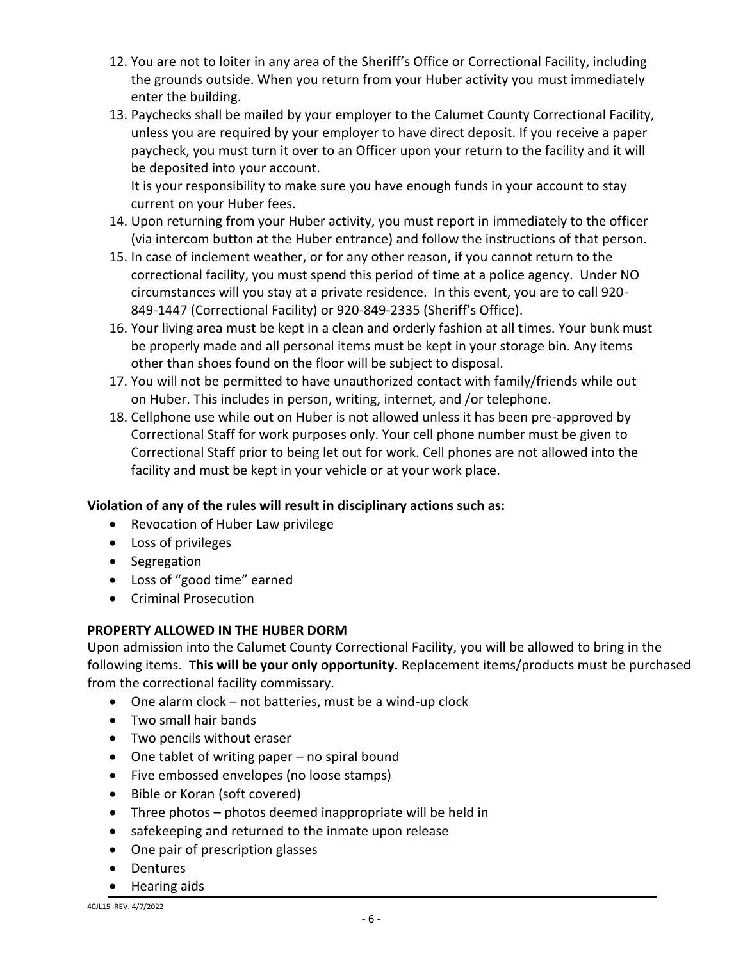- 12. You are not to loiter in any area of the Sheriff's Office or Correctional Facility, including the grounds outside. When you return from your Huber activity you must immediately enter the building.
- 13. Paychecks shall be mailed by your employer to the Calumet County Correctional Facility, unless you are required by your employer to have direct deposit. If you receive a paper paycheck, you must turn it over to an Officer upon your return to the facility and it will be deposited into your account.

It is your responsibility to make sure you have enough funds in your account to stay current on your Huber fees.

- 14. Upon returning from your Huber activity, you must report in immediately to the officer (via intercom button at the Huber entrance) and follow the instructions of that person.
- 15. In case of inclement weather, or for any other reason, if you cannot return to the correctional facility, you must spend this period of time at a police agency. Under NO circumstances will you stay at a private residence. In this event, you are to call 920- 849-1447 (Correctional Facility) or 920-849-2335 (Sheriff's Office).
- 16. Your living area must be kept in a clean and orderly fashion at all times. Your bunk must be properly made and all personal items must be kept in your storage bin. Any items other than shoes found on the floor will be subject to disposal.
- 17. You will not be permitted to have unauthorized contact with family/friends while out on Huber. This includes in person, writing, internet, and /or telephone.
- 18. Cellphone use while out on Huber is not allowed unless it has been pre-approved by Correctional Staff for work purposes only. Your cell phone number must be given to Correctional Staff prior to being let out for work. Cell phones are not allowed into the facility and must be kept in your vehicle or at your work place.

# **Violation of any of the rules will result in disciplinary actions such as:**

- Revocation of Huber Law privilege
- Loss of privileges
- Segregation
- Loss of "good time" earned
- **•** Criminal Prosecution

# **PROPERTY ALLOWED IN THE HUBER DORM**

Upon admission into the Calumet County Correctional Facility, you will be allowed to bring in the following items. **This will be your only opportunity.** Replacement items/products must be purchased from the correctional facility commissary.

- One alarm clock not batteries, must be a wind-up clock
- Two small hair bands
- Two pencils without eraser
- One tablet of writing paper no spiral bound
- Five embossed envelopes (no loose stamps)
- Bible or Koran (soft covered)
- Three photos photos deemed inappropriate will be held in
- safekeeping and returned to the inmate upon release
- One pair of prescription glasses
- Dentures
- Hearing aids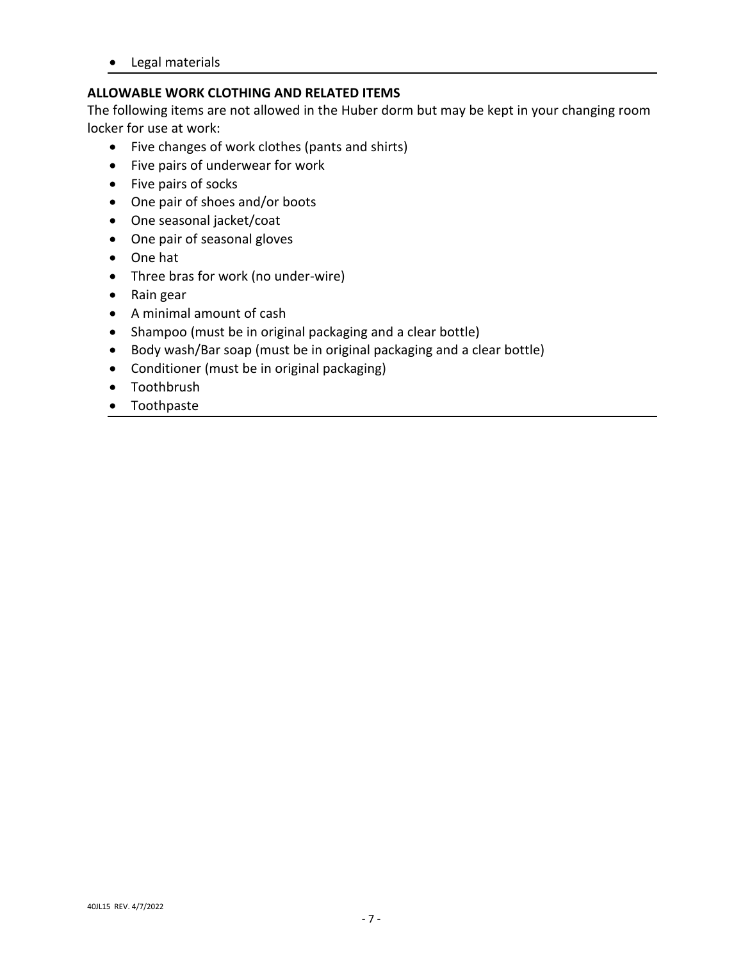Legal materials

# **ALLOWABLE WORK CLOTHING AND RELATED ITEMS**

The following items are not allowed in the Huber dorm but may be kept in your changing room locker for use at work:

- Five changes of work clothes (pants and shirts)
- Five pairs of underwear for work
- Five pairs of socks
- One pair of shoes and/or boots
- One seasonal jacket/coat
- One pair of seasonal gloves
- One hat
- Three bras for work (no under-wire)
- Rain gear
- A minimal amount of cash
- Shampoo (must be in original packaging and a clear bottle)
- Body wash/Bar soap (must be in original packaging and a clear bottle)
- Conditioner (must be in original packaging)
- Toothbrush
- Toothpaste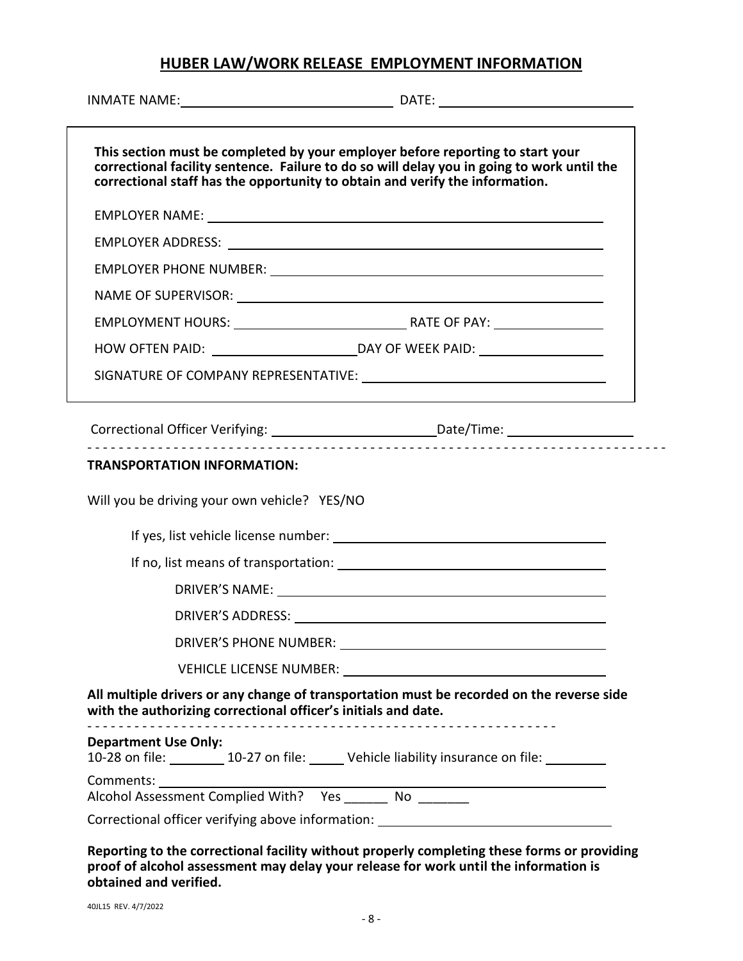# **HUBER LAW/WORK RELEASE EMPLOYMENT INFORMATION**

|                                                                              | This section must be completed by your employer before reporting to start your<br>correctional facility sentence. Failure to do so will delay you in going to work until the<br>correctional staff has the opportunity to obtain and verify the information. |
|------------------------------------------------------------------------------|--------------------------------------------------------------------------------------------------------------------------------------------------------------------------------------------------------------------------------------------------------------|
|                                                                              |                                                                                                                                                                                                                                                              |
|                                                                              |                                                                                                                                                                                                                                                              |
|                                                                              |                                                                                                                                                                                                                                                              |
|                                                                              | NAME OF SUPERVISOR: NAME OF SUPERVISOR:                                                                                                                                                                                                                      |
|                                                                              |                                                                                                                                                                                                                                                              |
|                                                                              |                                                                                                                                                                                                                                                              |
|                                                                              |                                                                                                                                                                                                                                                              |
|                                                                              | Correctional Officer Verifying: _________________________________Date/Time: _______________________                                                                                                                                                          |
| <b>TRANSPORTATION INFORMATION:</b>                                           |                                                                                                                                                                                                                                                              |
| Will you be driving your own vehicle? YES/NO                                 |                                                                                                                                                                                                                                                              |
|                                                                              |                                                                                                                                                                                                                                                              |
|                                                                              |                                                                                                                                                                                                                                                              |
|                                                                              |                                                                                                                                                                                                                                                              |
|                                                                              | DRIVER'S ADDRESS: University of the contract of the contract of the contract of the contract of the contract of the contract of the contract of the contract of the contract of the contract of the contract of the contract o                               |
|                                                                              |                                                                                                                                                                                                                                                              |
|                                                                              |                                                                                                                                                                                                                                                              |
| with the authorizing correctional officer's initials and date.               | All multiple drivers or any change of transportation must be recorded on the reverse side                                                                                                                                                                    |
| <b>Department Use Only:</b>                                                  | 10-28 on file: 10-27 on file: Vehicle liability insurance on file:                                                                                                                                                                                           |
| Comments: 1999<br>Alcohol Assessment Complied With? Yes ________ No ________ |                                                                                                                                                                                                                                                              |
|                                                                              |                                                                                                                                                                                                                                                              |

**Reporting to the correctional facility without properly completing these forms or providing proof of alcohol assessment may delay your release for work until the information is obtained and verified.**

40JL15 REV. 4/7/2022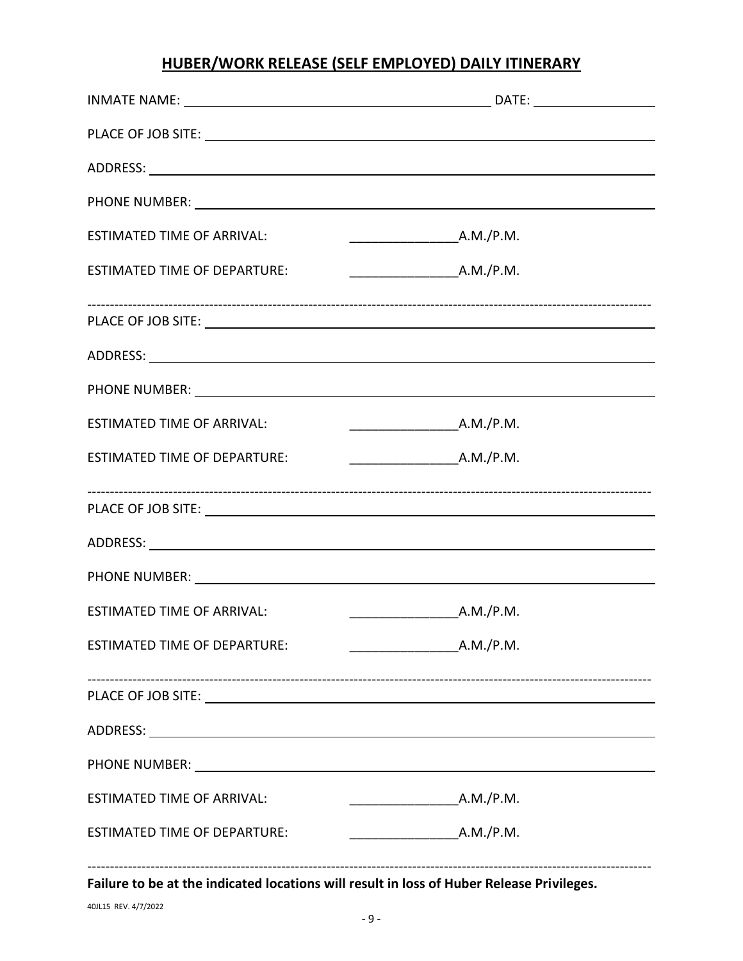# **HUBER/WORK RELEASE (SELF EMPLOYED) DAILY ITINERARY**

| <b>ESTIMATED TIME OF ARRIVAL:</b>                                                                                                                                                                                              | $\frac{1}{2}$ A.M./P.M.                |
|--------------------------------------------------------------------------------------------------------------------------------------------------------------------------------------------------------------------------------|----------------------------------------|
| <b>ESTIMATED TIME OF DEPARTURE:</b>                                                                                                                                                                                            |                                        |
|                                                                                                                                                                                                                                |                                        |
|                                                                                                                                                                                                                                |                                        |
|                                                                                                                                                                                                                                |                                        |
| <b>ESTIMATED TIME OF ARRIVAL:</b>                                                                                                                                                                                              |                                        |
| ESTIMATED TIME OF DEPARTURE:                                                                                                                                                                                                   |                                        |
|                                                                                                                                                                                                                                |                                        |
|                                                                                                                                                                                                                                |                                        |
|                                                                                                                                                                                                                                |                                        |
| <b>ESTIMATED TIME OF ARRIVAL:</b>                                                                                                                                                                                              | $\overbrace{\hspace{2.5cm}}$ A.M./P.M. |
| <b>ESTIMATED TIME OF DEPARTURE:</b>                                                                                                                                                                                            |                                        |
|                                                                                                                                                                                                                                |                                        |
|                                                                                                                                                                                                                                |                                        |
| PHONE NUMBER: University of the contract of the contract of the contract of the contract of the contract of the contract of the contract of the contract of the contract of the contract of the contract of the contract of th |                                        |
| <b>ESTIMATED TIME OF ARRIVAL:</b>                                                                                                                                                                                              | $\overline{\phantom{a} A.M./P.M.}$     |
| <b>ESTIMATED TIME OF DEPARTURE:</b>                                                                                                                                                                                            |                                        |
| Failure to be at the indicated locations will result in loss of Huber Release Privileges.                                                                                                                                      |                                        |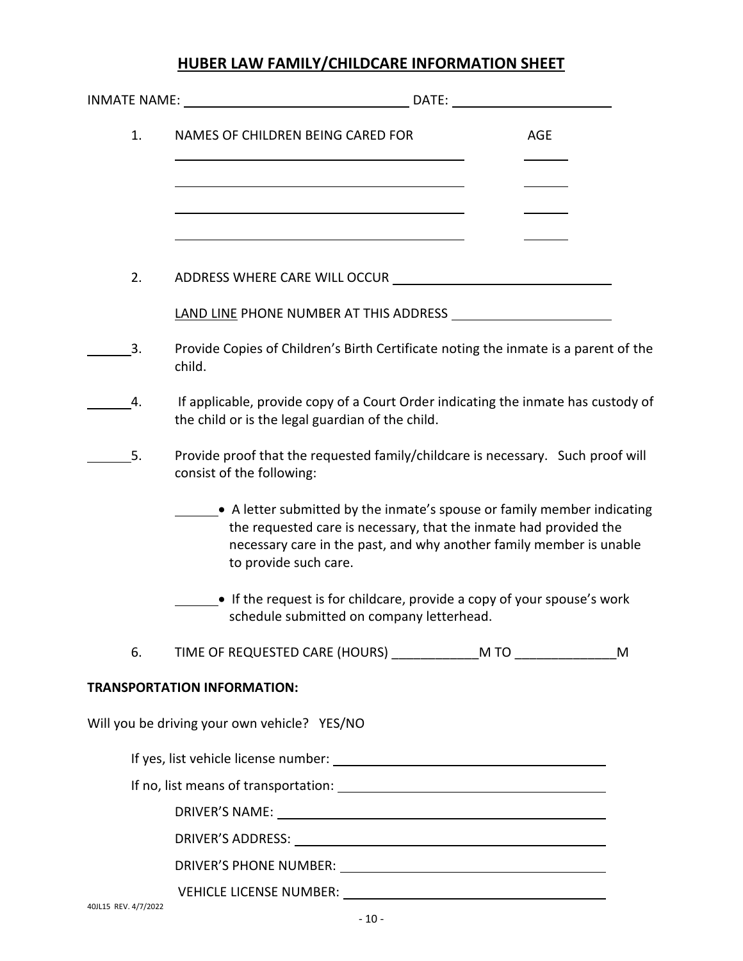# **HUBER LAW FAMILY/CHILDCARE INFORMATION SHEET**

|     | DATE:                                                                                                                                                                                                                                        |  |            |  |  |
|-----|----------------------------------------------------------------------------------------------------------------------------------------------------------------------------------------------------------------------------------------------|--|------------|--|--|
| 1.  | NAMES OF CHILDREN BEING CARED FOR                                                                                                                                                                                                            |  | <b>AGE</b> |  |  |
|     |                                                                                                                                                                                                                                              |  |            |  |  |
|     |                                                                                                                                                                                                                                              |  |            |  |  |
| 2.  |                                                                                                                                                                                                                                              |  |            |  |  |
|     |                                                                                                                                                                                                                                              |  |            |  |  |
| 3.  | Provide Copies of Children's Birth Certificate noting the inmate is a parent of the<br>child.                                                                                                                                                |  |            |  |  |
| 4.  | If applicable, provide copy of a Court Order indicating the inmate has custody of<br>the child or is the legal guardian of the child.                                                                                                        |  |            |  |  |
| -5. | Provide proof that the requested family/childcare is necessary. Such proof will<br>consist of the following:                                                                                                                                 |  |            |  |  |
|     | • A letter submitted by the inmate's spouse or family member indicating<br>the requested care is necessary, that the inmate had provided the<br>necessary care in the past, and why another family member is unable<br>to provide such care. |  |            |  |  |
|     | • If the request is for childcare, provide a copy of your spouse's work<br>schedule submitted on company letterhead.                                                                                                                         |  |            |  |  |
| 6.  |                                                                                                                                                                                                                                              |  | M          |  |  |
|     | <b>TRANSPORTATION INFORMATION:</b>                                                                                                                                                                                                           |  |            |  |  |
|     | Will you be driving your own vehicle? YES/NO                                                                                                                                                                                                 |  |            |  |  |
|     |                                                                                                                                                                                                                                              |  |            |  |  |
|     |                                                                                                                                                                                                                                              |  |            |  |  |
|     |                                                                                                                                                                                                                                              |  |            |  |  |
|     |                                                                                                                                                                                                                                              |  |            |  |  |
|     |                                                                                                                                                                                                                                              |  |            |  |  |
|     |                                                                                                                                                                                                                                              |  |            |  |  |